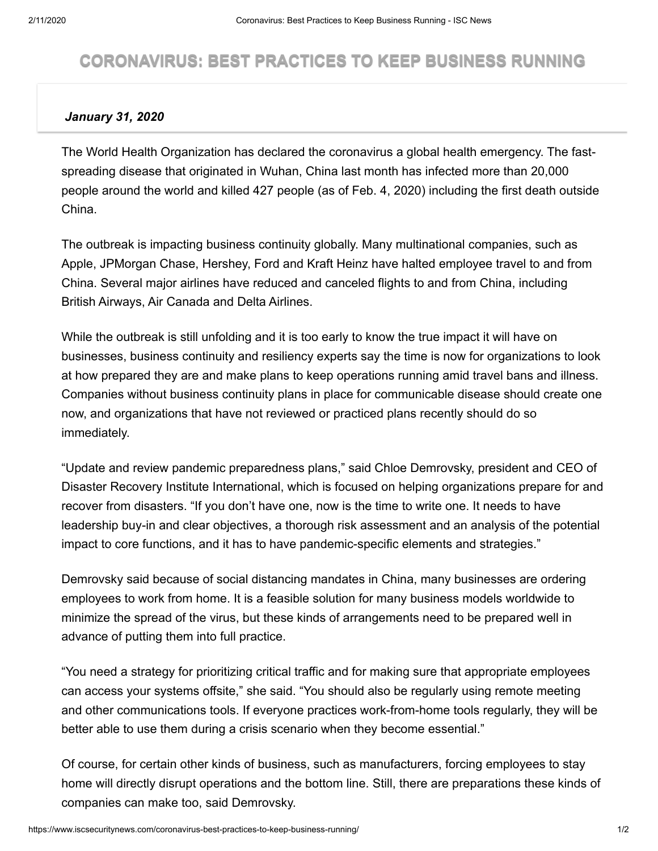## **CORONAVIRUS: BEST PRACTICES TO KEEP BUSINESS RUNNING**

## *January 31, 2020*

The World Health Organization has declared the coronavirus a global health emergency. The fastspreading disease that originated in Wuhan, China last month has infected more than 20,000 people around the world and killed 427 people (as of Feb. 4, 2020) including the first death outside China.

The outbreak is impacting business continuity globally. Many multinational companies, such as Apple, JPMorgan Chase, Hershey, Ford and Kraft Heinz have halted employee travel to and from China. Several major airlines have reduced and canceled flights to and from China, including British Airways, Air Canada and Delta Airlines.

While the outbreak is still unfolding and it is too early to know the true impact it will have on businesses, business continuity and resiliency experts say the time is now for organizations to look at how prepared they are and make plans to keep operations running amid travel bans and illness. Companies without business continuity plans in place for communicable disease should create one now, and organizations that have not reviewed or practiced plans recently should do so immediately.

"Update and review pandemic preparedness plans," said Chloe Demrovsky, president and CEO of Disaster Recovery Institute International, which is focused on helping organizations prepare for and recover from disasters. "If you don't have one, now is the time to write one. It needs to have leadership buy-in and clear objectives, a thorough risk assessment and an analysis of the potential impact to core functions, and it has to have pandemic-specific elements and strategies."

Demrovsky said because of social distancing mandates in China, many businesses are ordering employees to work from home. It is a feasible solution for many business models worldwide to minimize the spread of the virus, but these kinds of arrangements need to be prepared well in advance of putting them into full practice.

"You need a strategy for prioritizing critical traffic and for making sure that appropriate employees can access your systems offsite," she said. "You should also be regularly using remote meeting and other communications tools. If everyone practices work-from-home tools regularly, they will be better able to use them during a crisis scenario when they become essential."

Of course, for certain other kinds of business, such as manufacturers, forcing employees to stay home will directly disrupt operations and the bottom line. Still, there are preparations these kinds of companies can make too, said Demrovsky.